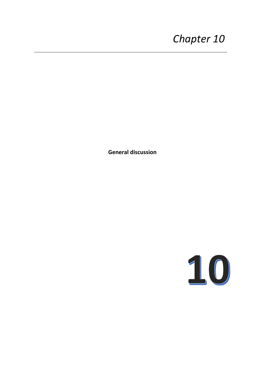# *Chapter 10*

**General discussion**

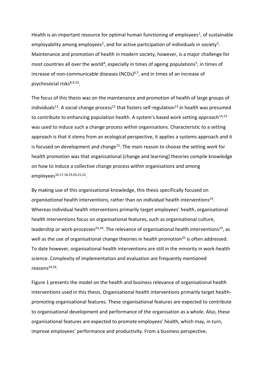Health is an important resource for optimal human functioning of employees<sup>1</sup>, of sustainable employability among employees<sup>2</sup>, and for active participation of individuals in society<sup>3</sup>. Maintenance and promotion of health in modern society, however, is a major challenge for most countries all over the world<sup>4</sup>, especially in times of ageing populations<sup>5</sup>, in times of increase of non-communicable diseases (NCDs) $6,7$ , and in times of an increase of psychosocial risks<sup>8,9,10</sup>.

The focus of this thesis was on the maintenance and promotion of health of large groups of individuals<sup>11</sup>. A social change process<sup>12</sup> that fosters self-regulation<sup>13</sup> in health was presumed to contribute to enhancing population health. A system's based work setting approach<sup>14,15</sup> was used to induce such a change process within organisations. Characteristic to a setting approach is that it stems from an ecological perspective, it applies a systems approach and it is focused on development and change<sup>15</sup>. The main reason to choose the setting *work* for health promotion was that organisational (change and learning) theories compile knowledge on how to induce a collective change process within organisations and among employees<sup>16,17,18,19,20,21,22</sup>.

By making use of this organisational knowledge, this thesis specifically focused on organisational health interventions, rather than on *individual* health interventions<sup>23</sup>. Whereas individual health interventions primarily target employees' health, organisational health interventions focus on organisational features, such as organisational culture, leadership or work-processes<sup>23,24</sup>. The relevance of organisational health interventions<sup>23</sup>, as well as the use of organisational change theories in health promotion<sup>25</sup> is often addressed. To date however, organisational health interventions are still in the minority in work-health science. Complexity of implementation and evaluation are frequently mentioned reasons<sup>24,26</sup>.

Figure 1 presents the model on the health and business relevance of organisational health interventions used in this thesis. Organisational health interventions primarily target healthpromoting organisational features. These organisational features are expected to contribute to organisational development and performance of the organisation as a whole. Also, these organisational features are expected to promote employees' health, which may, in turn, improve employees' performance and productivity. From a business perspective,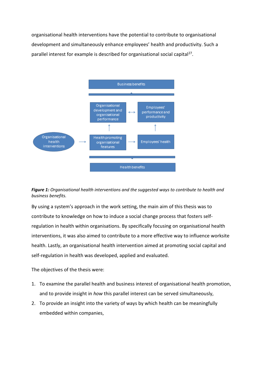organisational health interventions have the potential to contribute to organisational development and simultaneously enhance employees' health and productivity. Such a parallel interest for example is described for organisational social capital<sup>27</sup>.



*Figure 1: Organisational health interventions and the suggested ways to contribute to health and business benefits.*

By using a system's approach in the work setting, the main aim of this thesis was to contribute to knowledge on how to induce a social change process that fosters selfregulation in health within organisations. By specifically focusing on organisational health interventions, it was also aimed to contribute to a more effective way to influence worksite health. Lastly, an organisational health intervention aimed at promoting social capital and self-regulation in health was developed, applied and evaluated.

The objectives of the thesis were:

- 1. To examine the parallel health and business interest of organisational health promotion, and to provide insight in *how* this parallel interest can be served simultaneously,
- 2. To provide an insight into the variety of ways by which health can be meaningfully embedded within companies,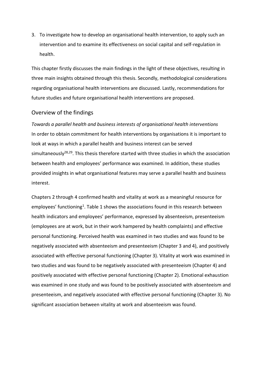3. To investigate how to develop an organisational health intervention, to apply such an intervention and to examine its effectiveness on social capital and self-regulation in health.

This chapter firstly discusses the main findings in the light of these objectives, resulting in three main insights obtained through this thesis. Secondly, methodological considerations regarding organisational health interventions are discussed. Lastly, recommendations for future studies and future organisational health interventions are proposed.

## Overview of the findings

*Towards a parallel health and business interests of organisational health interventions* In order to obtain commitment for health interventions by organisations it is important to look at ways in which a parallel health and business interest can be served simultaneously<sup>28,29</sup>. This thesis therefore started with three studies in which the association between health and employees' performance was examined. In addition, these studies provided insights in what organisational features may serve a parallel health and business interest.

Chapters 2 through 4 confirmed health and vitality at work as a meaningful resource for employees' functioning<sup>1</sup>. Table 1 shows the associations found in this research between health indicators and employees' performance, expressed by absenteeism, presenteeism (employees are at work, but in their work hampered by health complaints) and effective personal functioning. Perceived health was examined in two studies and was found to be negatively associated with absenteeism and presenteeism (Chapter 3 and 4), and positively associated with effective personal functioning (Chapter 3). Vitality at work was examined in two studies and was found to be negatively associated with presenteeism (Chapter 4) and positively associated with effective personal functioning (Chapter 2). Emotional exhaustion was examined in one study and was found to be positively associated with absenteeism and presenteeism, and negatively associated with effective personal functioning (Chapter 3). No significant association between vitality at work and absenteeism was found.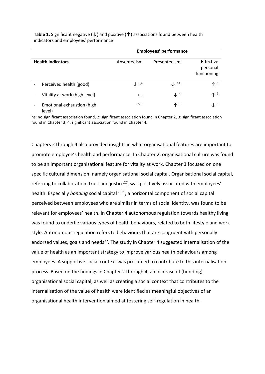|                                      | <b>Employees' performance</b> |                           |                                      |
|--------------------------------------|-------------------------------|---------------------------|--------------------------------------|
| <b>Health indicators</b>             | Absenteeism                   | Presenteeism              | Effective<br>personal<br>functioning |
| Perceived health (good)              | $\downarrow$ 3,4              | $\downarrow$ 3,4          | $\uparrow$ <sup>3</sup>              |
| Vitality at work (high level)        | ns                            | $\downarrow$ <sup>4</sup> | 个 2                                  |
| Emotional exhaustion (high<br>level) | $\mathbf{\Lambda}^3$          | $\uparrow$ <sup>3</sup>   | $\downarrow$ <sup>3</sup>            |

**Table 1.** Significant negative  $(\downarrow)$  and positive  $(\uparrow)$  associations found between health indicators and employees' performance

ns: no significant association found, 2: significant association found in Chapter 2, 3: significant association found in Chapter 3, 4: significant association found in Chapter 4.

Chapters 2 through 4 also provided insights in what organisational features are important to promote employee's health and performance. In Chapter 2, organisational culture was found to be an important organisational feature for vitality at work. Chapter 3 focused on one specific cultural dimension, namely organisational social capital. Organisational social capital, referring to collaboration, trust and justice $^{27}$ , was positively associated with employees' health. Especially *bonding* social capital<sup>30,31</sup>, a horizontal component of social capital perceived between employees who are similar in terms of social identity, was found to be relevant for employees' health. In Chapter 4 autonomous regulation towards healthy living was found to underlie various types of health behaviours, related to both lifestyle and work style. Autonomous regulation refers to behaviours that are congruent with personally endorsed values, goals and needs<sup>32</sup>. The study in Chapter 4 suggested internalisation of the value of health as an important strategy to improve various health behaviours among employees. A supportive social context was presumed to contribute to this internalisation process. Based on the findings in Chapter 2 through 4, an increase of (bonding) organisational social capital, as well as creating a social context that contributes to the internalisation of the value of health were identified as meaningful objectives of an organisational health intervention aimed at fostering self-regulation in health.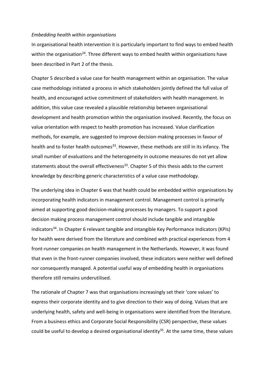#### *Embedding health within organisations*

In organisational health intervention it is particularly important to find ways to embed health within the organisation<sup>24</sup>. Three different ways to embed health within organisations have been described in Part 2 of the thesis.

Chapter 5 described a value case for health management within an organisation. The value case methodology initiated a process in which stakeholders jointly defined the full value of health, and encouraged active commitment of stakeholders with health management. In addition, this value case revealed a plausible relationship between organisational development and health promotion within the organisation involved. Recently, the focus on value orientation with respect to health promotion has increased. Value clarification methods, for example, are suggested to improve decision-making processes in favour of health and to foster health outcomes<sup>33</sup>. However, these methods are still in its infancy. The small number of evaluations and the heterogeneity in outcome measures do not yet allow statements about the overall effectiveness<sup>33</sup>. Chapter 5 of this thesis adds to the current knowledge by describing generic characteristics of a value case methodology.

The underlying idea in Chapter 6 was that health could be embedded within organisations by incorporating health indicators in management control. Management control is primarily aimed at supporting good decision-making processes by managers. To support a good decision making process management control should include tangible and intangible indicators<sup>34</sup>. In Chapter 6 relevant tangible and intangible Key Performance Indicators (KPIs) for health were derived from the literature and combined with practical experiences from 4 front-runner companies on health management in the Netherlands. However, it was found that even in the front-runner companies involved, these indicators were neither well defined nor consequently managed. A potential useful way of embedding health in organisations therefore still remains underutilised.

The rationale of Chapter 7 was that organisations increasingly set their 'core values' to express their corporate identity and to give direction to their way of doing. Values that are underlying health, safety and well-being in organisations were identified from the literature. From a business ethics and Corporate Social Responsibility (CSR) perspective, these values could be useful to develop a desired organisational identity<sup>35</sup>. At the same time, these values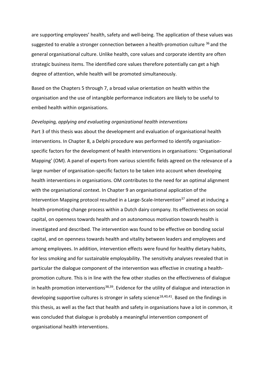are supporting employees' health, safety and well-being. The application of these values was suggested to enable a stronger connection between a health-promotion culture  $36$  and the general organisational culture. Unlike health, core values and corporate identity are often strategic business items. The identified core values therefore potentially can get a high degree of attention, while health will be promoted simultaneously.

Based on the Chapters 5 through 7, a broad value orientation on health within the organisation and the use of intangible performance indicators are likely to be useful to embed health within organisations.

#### *Developing, applying and evaluating organizational health interventions*

Part 3 of this thesis was about the development and evaluation of organisational health interventions. In Chapter 8, a Delphi procedure was performed to identify organisationspecific factors for the development of health interventions in organisations: 'Organisational Mapping' (OM). A panel of experts from various scientific fields agreed on the relevance of a large number of organisation-specific factors to be taken into account when developing health interventions in organisations. OM contributes to the need for an optimal alignment with the organisational context. In Chapter 9 an organisational application of the Intervention Mapping protocol resulted in a Large-Scale-Intervention<sup>37</sup> aimed at inducing a health-promoting change process within a Dutch dairy company. Its effectiveness on social capital, on openness towards health and on autonomous motivation towards health is investigated and described. The intervention was found to be effective on bonding social capital, and on openness towards health and vitality between leaders and employees and among employees. In addition, intervention effects were found for healthy dietary habits, for less smoking and for sustainable employability. The sensitivity analyses revealed that in particular the dialogue component of the intervention was effective in creating a healthpromotion culture. This is in line with the few other studies on the effectiveness of dialogue in health promotion interventions<sup>38,39</sup>. Evidence for the utility of dialogue and interaction in developing supportive cultures is stronger in safety science<sup>18,40,41</sup>. Based on the findings in this thesis, as well as the fact that health and safety in organisations have a lot in common, it was concluded that dialogue is probably a meaningful intervention component of organisational health interventions.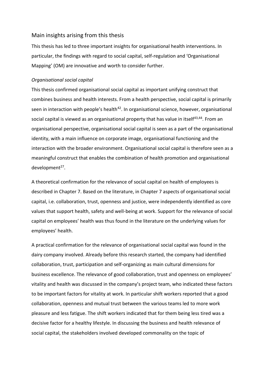# Main insights arising from this thesis

This thesis has led to three important insights for organisational health interventions. In particular, the findings with regard to social capital, self-regulation and 'Organisational Mapping' (OM) are innovative and worth to consider further.

## *Organisational social capital*

This thesis confirmed organisational social capital as important unifying construct that combines business and health interests. From a health perspective, social capital is primarily seen in interaction with people's health<sup>42</sup>. In organisational science, however, organisational social capital is viewed as an organisational property that has value in itself<sup>43,44</sup>. From an organisational perspective, organisational social capital is seen as a part of the organisational identity, with a main influence on corporate image, organisational functioning and the interaction with the broader environment. Organisational social capital is therefore seen as a meaningful construct that enables the combination of health promotion and organisational development<sup>27</sup>.

A theoretical confirmation for the relevance of social capital on health of employees is described in Chapter 7. Based on the literature, in Chapter 7 aspects of organisational social capital, i.e. collaboration, trust, openness and justice, were independently identified as core values that support health, safety and well-being at work. Support for the relevance of social capital on employees' health was thus found in the literature on the underlying values for employees' health.

A practical confirmation for the relevance of organisational social capital was found in the dairy company involved. Already before this research started, the company had identified collaboration, trust, participation and self-organizing as main cultural dimensions for business excellence. The relevance of good collaboration, trust and openness on employees' vitality and health was discussed in the company's project team, who indicated these factors to be important factors for vitality at work. In particular shift workers reported that a good collaboration, openness and mutual trust between the various teams led to more work pleasure and less fatigue. The shift workers indicated that for them being less tired was a decisive factor for a healthy lifestyle. In discussing the business and health relevance of social capital, the stakeholders involved developed commonality on the topic of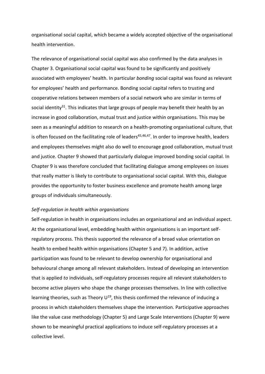organisational social capital, which became a widely accepted objective of the organisational health intervention.

The relevance of organisational social capital was also confirmed by the data analyses in Chapter 3. Organisational social capital was found to be significantly and positively associated with employees' health. In particular *bonding* social capital was found as relevant for employees' health and performance. Bonding social capital refers to trusting and cooperative relations between members of a social network who are similar in terms of social identity<sup>31</sup>. This indicates that large groups of people may benefit their health by an increase in good collaboration, mutual trust and justice within organisations. This may be seen as a meaningful addition to research on a health-promoting organisational culture, that is often focused on the facilitating role of leaders<sup>45,46,47</sup>. In order to improve health, leaders and employees themselves might also do well to encourage good collaboration, mutual trust and justice. Chapter 9 showed that particularly dialogue improved bonding social capital. In Chapter 9 is was therefore concluded that facilitating dialogue among employees on issues that really matter is likely to contribute to organisational social capital. With this, dialogue provides the opportunity to foster business excellence and promote health among large groups of individuals simultaneously.

#### *Self-regulation in health within organisations*

Self-regulation in health in organisations includes an organisational and an individual aspect. At the organisational level, embedding health within organisations is an important selfregulatory process. This thesis supported the relevance of a broad value orientation on health to embed health within organisations (Chapter 5 and 7). In addition, active participation was found to be relevant to develop ownership for organisational and behavioural change among all relevant stakeholders. Instead of developing an intervention that is applied *to* individuals, self-regulatory processes require all relevant stakeholders to become active players who shape the change processes themselves. In line with collective learning theories, such as Theory  $U^{19}$ , this thesis confirmed the relevance of inducing a process in which stakeholders themselves shape the intervention. Participative approaches like the value case methodology (Chapter 5) and Large Scale Interventions (Chapter 9) were shown to be meaningful practical applications to induce self-regulatory processes at a collective level.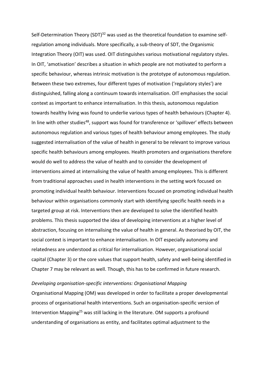Self-Determination Theory (SDT)<sup>32</sup> was used as the theoretical foundation to examine selfregulation among individuals. More specifically, a sub-theory of SDT, the Organismic Integration Theory (OIT) was used. OIT distinguishes various motivational regulatory styles. In OIT, 'amotivation' describes a situation in which people are not motivated to perform a specific behaviour, whereas intrinsic motivation is the prototype of autonomous regulation. Between these two extremes, four different types of motivation ('regulatory styles') are distinguished, falling along a continuum towards internalisation. OIT emphasises the social context as important to enhance internalisation. In this thesis, autonomous regulation towards healthy living was found to underlie various types of health behaviours (Chapter 4). In line with other studies<sup>48</sup>, support was found for transference or 'spillover' effects between autonomous regulation and various types of health behaviour among employees. The study suggested internalisation of the value of health in general to be relevant to improve various specific health behaviours among employees. Health promoters and organisations therefore would do well to address the value of health and to consider the development of interventions aimed at internalising the value of health among employees. This is different from traditional approaches used in health interventions in the setting work focused on promoting individual health behaviour. Interventions focused on promoting individual health behaviour within organisations commonly start with identifying specific health needs in a targeted group at risk. Interventions then are developed to solve the identified health problems. This thesis supported the idea of developing interventions at a higher level of abstraction, focusing on internalising the value of health in general. As theorised by OIT, the social context is important to enhance internalisation. In OIT especially autonomy and relatedness are understood as critical for internalisation. However, organisational social capital (Chapter 3) or the core values that support health, safety and well-being identified in Chapter 7 may be relevant as well. Though, this has to be confirmed in future research.

#### *Developing organisation-specific interventions: Organisational Mapping*

Organisational Mapping (OM) was developed in order to facilitate a proper developmental process of organisational health interventions. Such an organisation-specific version of Intervention Mapping<sup>25</sup> was still lacking in the literature. OM supports a profound understanding of organisations as entity, and facilitates optimal adjustment to the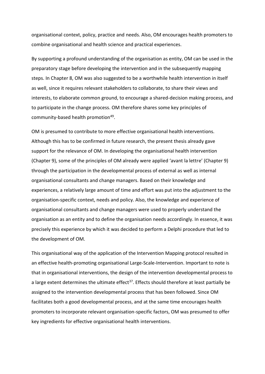organisational context, policy, practice and needs. Also, OM encourages health promoters to combine organisational and health science and practical experiences.

By supporting a profound understanding of the organisation as entity, OM can be used in the preparatory stage before developing the intervention and in the subsequently mapping steps. In Chapter 8, OM was also suggested to be a worthwhile health intervention in itself as well, since it requires relevant stakeholders to collaborate, to share their views and interests, to elaborate common ground, to encourage a shared-decision making process, and to participate in the change process. OM therefore shares some key principles of community-based health promotion<sup>49</sup>.

OM is presumed to contribute to more effective organisational health interventions. Although this has to be confirmed in future research, the present thesis already gave support for the relevance of OM. In developing the organisational health intervention (Chapter 9), some of the principles of OM already were applied 'avant la lettre' (Chapter 9) through the participation in the developmental process of external as well as internal organisational consultants and change managers. Based on their knowledge and experiences, a relatively large amount of time and effort was put into the adjustment to the organisation-specific context, needs and policy. Also, the knowledge and experience of organisational consultants and change managers were used to properly understand the organisation as an entity and to define the organisation needs accordingly. In essence, it was precisely this experience by which it was decided to perform a Delphi procedure that led to the development of OM.

This organisational way of the application of the Intervention Mapping protocol resulted in an effective health-promoting organisational Large-Scale-Intervention. Important to note is that in organisational interventions, the design of the intervention developmental process to a large extent determines the ultimate effect<sup>37</sup>. Effects should therefore at least partially be assigned to the intervention developmental process that has been followed. Since OM facilitates both a good developmental process, and at the same time encourages health promoters to incorporate relevant organisation-specific factors, OM was presumed to offer key ingredients for effective organisational health interventions.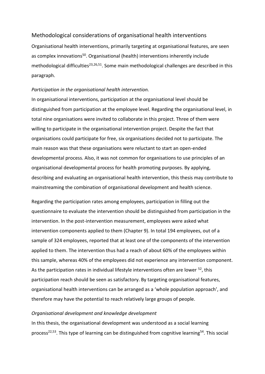# Methodological considerations of organisational health interventions

Organisational health interventions, primarily targeting at organisational features, are seen as complex innovations<sup>50</sup>. Organisational (health) interventions inherently include methodological difficulties<sup>23,26,51</sup>. Some main methodological challenges are described in this paragraph.

## *Participation in the organisational health intervention.*

In organisational interventions, participation at the organisational level should be distinguished from participation at the employee level. Regarding the organisational level, in total nine organisations were invited to collaborate in this project. Three of them were willing to participate in the organisational intervention project. Despite the fact that organisations could participate for free, six organisations decided not to participate. The main reason was that these organisations were reluctant to start an open-ended developmental process. Also, it was not common for organisations to use principles of an organisational developmental process for health promoting purposes. By applying, describing and evaluating an organisational health intervention, this thesis may contribute to mainstreaming the combination of organisational development and health science.

Regarding the participation rates among employees, participation in filling out the questionnaire to evaluate the intervention should be distinguished from participation in the intervention. In the post-intervention measurement, employees were asked what intervention components applied to them (Chapter 9). In total 194 employees, out of a sample of 324 employees, reported that at least one of the components of the intervention applied to them. The intervention thus had a reach of about 60% of the employees within this sample, whereas 40% of the employees did not experience any intervention component. As the participation rates in individual lifestyle interventions often are lower <sup>52</sup>, this participation reach should be seen as satisfactory. By targeting organisational features, organisational health interventions can be arranged as a 'whole population approach', and therefore may have the potential to reach relatively large groups of people.

## *Organisational development and knowledge development*

In this thesis, the organisational development was understood as a social learning process<sup>22,53</sup>. This type of learning can be distinguished from cognitive learning<sup>54</sup>. This social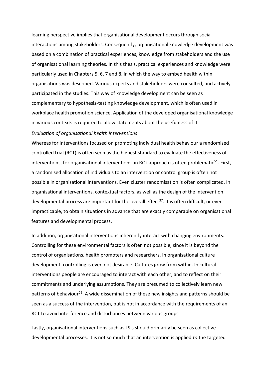learning perspective implies that organisational development occurs through social interactions among stakeholders. Consequently, organisational knowledge development was based on a combination of practical experiences, knowledge from stakeholders and the use of organisational learning theories. In this thesis, practical experiences and knowledge were particularly used in Chapters 5, 6, 7 and 8, in which the way to embed health within organisations was described. Various experts and stakeholders were consulted, and actively participated in the studies. This way of knowledge development can be seen as complementary to hypothesis-testing knowledge development, which is often used in workplace health promotion science. Application of the developed organisational knowledge in various contexts is required to allow statements about the usefulness of it.

## *Evaluation of organisational health interventions*

Whereas for interventions focused on promoting individual health behaviour a randomised controlled trial (RCT) is often seen as the highest standard to evaluate the effectiveness of interventions, for organisational interventions an RCT approach is often problematic<sup>51</sup>. First, a randomised allocation of individuals to an intervention or control group is often not possible in organisational interventions. Even cluster randomisation is often complicated. In organisational interventions, contextual factors, as well as the design of the intervention developmental process are important for the overall effect<sup>37</sup>. It is often difficult, or even impracticable, to obtain situations in advance that are exactly comparable on organisational features and developmental process.

In addition, organisational interventions inherently interact with changing environments. Controlling for these environmental factors is often not possible, since it is beyond the control of organisations, health promoters and researchers. In organisational culture development, controlling is even not desirable. Cultures grow from within. In cultural interventions people are encouraged to interact with each other, and to reflect on their commitments and underlying assumptions. They are presumed to collectively learn new patterns of behaviour<sup>22</sup>. A wide dissemination of these new insights and patterns should be seen as a success of the intervention, but is not in accordance with the requirements of an RCT to avoid interference and disturbances between various groups.

Lastly, organisational interventions such as LSIs should primarily be seen as collective developmental processes. It is not so much that an intervention is applied *to* the targeted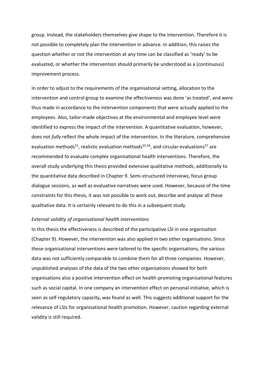group. Instead, the stakeholders themselves give shape to the intervention. Therefore it is not possible to completely plan the intervention in advance. In addition, this raises the question whether or not the intervention at any time can be classified as 'ready' to be evaluated, or whether the intervention should primarily be understood as a (continuous) improvement process.

In order to adjust to the requirements of the organisational setting, allocation to the intervention and control group to examine the effectiveness was done 'as treated', and were thus made in accordance to the intervention components that were actually applied to the employees. Also, tailor-made objectives at the environmental and employee level were identified to express the impact of the intervention. A quantitative evaluation, however, does not *fully* reflect the whole impact of the intervention. In the literature, comprehensive evaluation methods<sup>51</sup>, realistic evaluation methods<sup>55,56</sup>, and circular evaluations<sup>57</sup> are recommended to evaluate complex organisational health interventions. Therefore, the overall study underlying this thesis provided extensive qualitative methods, additionally to the quantitative data described in Chapter 9. Semi-structured interviews, focus group dialogue sessions, as well as evaluative narratives were used. However, because of the time constraints for this thesis, it was not possible to work out, describe and analyse all these qualitative data. It is certainly relevant to do this in a subsequent study.

#### *External validity of organisational health interventions*

In this thesis the effectiveness is described of the participative LSI in one organisation (Chapter 9). However, the intervention was also applied in two other organisations. Since these organisational interventions were tailored to the specific organisations, the various data was not sufficiently comparable to combine them for all three companies. However, unpublished analyses of the data of the two other organisations showed for both organisations also a positive intervention effect on health-promoting organisational features such as social capital. In one company an intervention effect on personal initiative, which is seen as self-regulatory capacity, was found as well. This suggests additional support for the relevance of LSIs for organisational health promotion. However, caution regarding external validity is still required.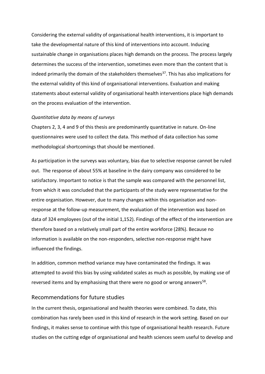Considering the external validity of organisational health interventions, it is important to take the developmental nature of this kind of interventions into account. Inducing sustainable change in organisations places high demands on the process. The process largely determines the success of the intervention, sometimes even more than the content that is indeed primarily the domain of the stakeholders themselves<sup>37</sup>. This has also implications for the external validity of this kind of organisational interventions. Evaluation and making statements about external validity of organisational health interventions place high demands on the process evaluation of the intervention.

## *Quantitative data by means of surveys*

Chapters 2, 3, 4 and 9 of this thesis are predominantly quantitative in nature. On-line questionnaires were used to collect the data. This method of data collection has some methodological shortcomings that should be mentioned.

As participation in the surveys was voluntary, bias due to selective response cannot be ruled out. The response of about 55% at baseline in the dairy company was considered to be satisfactory. Important to notice is that the sample was compared with the personnel list, from which it was concluded that the participants of the study were representative for the entire organisation. However, due to many changes within this organisation and nonresponse at the follow-up measurement, the evaluation of the intervention was based on data of 324 employees (out of the initial 1,152). Findings of the effect of the intervention are therefore based on a relatively small part of the entire workforce (28%). Because no information is available on the non-responders, selective non-response might have influenced the findings.

In addition, common method variance may have contaminated the findings. It was attempted to avoid this bias by using validated scales as much as possible, by making use of reversed items and by emphasising that there were no good or wrong answers<sup>58</sup>.

## Recommendations for future studies

In the current thesis, organisational and health theories were combined. To date, this combination has rarely been used in this kind of research in the work setting. Based on our findings, it makes sense to continue with this type of organisational health research. Future studies on the cutting edge of organisational and health sciences seem useful to develop and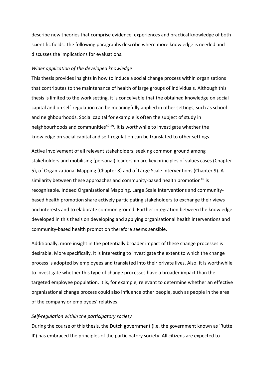describe new theories that comprise evidence, experiences and practical knowledge of both scientific fields. The following paragraphs describe where more knowledge is needed and discusses the implications for evaluations.

#### *Wider application of the developed knowledge*

This thesis provides insights in how to induce a social change process within organisations that contributes to the maintenance of health of large groups of individuals. Although this thesis is limited to the work setting, it is conceivable that the obtained knowledge on social capital and on self-regulation can be meaningfully applied in other settings, such as school and neighbourhoods. Social capital for example is often the subject of study in neighbourhoods and communities<sup>42,59</sup>. It is worthwhile to investigate whether the knowledge on social capital and self-regulation can be translated to other settings.

Active involvement of all relevant stakeholders, seeking common ground among stakeholders and mobilising (personal) leadership are key principles of values cases (Chapter 5), of Organizational Mapping (Chapter 8) and of Large Scale Interventions (Chapter 9). A similarity between these approaches and community-based health promotion<sup>49</sup> is recognisable. Indeed Organisational Mapping, Large Scale Interventions and communitybased health promotion share actively participating stakeholders to exchange their views and interests and to elaborate common ground. Further integration between the knowledge developed in this thesis on developing and applying organisational health interventions and community-based health promotion therefore seems sensible.

Additionally, more insight in the potentially broader impact of these change processes is desirable. More specifically, it is interesting to investigate the extent to which the change process is adopted by employees and translated into their private lives. Also, it is worthwhile to investigate whether this type of change processes have a broader impact than the targeted employee population. It is, for example, relevant to determine whether an effective organisational change process could also influence other people, such as people in the area of the company or employees' relatives.

#### *Self-regulation within the participatory society*

During the course of this thesis, the Dutch government (i.e. the government known as 'Rutte II') has embraced the principles of the participatory society. All citizens are expected to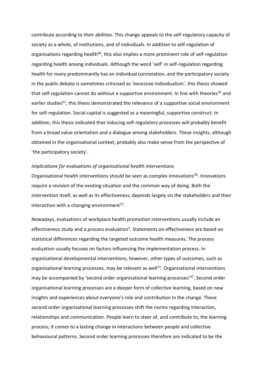contribute according to their abilities. This change appeals to the self-regulatory capacity of society as a whole, of institutions, and of individuals. In addition to self-regulation of organisations regarding health<sup>60</sup>, this also implies a more prominent role of self-regulation regarding health among individuals. Although the word 'self' in self-regulation regarding health for many predominantly has an individual connotation, and the participatory society in the public debate is sometimes criticised as 'excessive individualism', this thesis showed that self-regulation cannot do without a supportive environment. In line with theories<sup>32</sup> and earlier studies<sup>61</sup>, this thesis demonstrated the relevance of a supportive social environment for self-regulation. Social capital is suggested as a meaningful, supportive construct. In addition, this thesis indicated that inducing self-regulatory processes will probably benefit from a broad value orientation and a dialogue among stakeholders. These insights, although obtained in the organisational context, probably also make sense from the perspective of 'the participatory society'.

#### *Implications for evaluations of organisational health interventions*

Organisational health interventions should be seen as complex innovations<sup>50</sup>. Innovations require a revision of the existing situation and the common way of doing. Both the intervention itself, as well as its effectiveness, depends largely on the stakeholders and their interaction with a changing environment<sup>37</sup>.

Nowadays, evaluations of workplace health promotion interventions usually include an effectiveness study and a process evaluation<sup>2</sup>. Statements on effectiveness are based on statistical differences regarding the targeted outcome health measures. The process evaluation usually focuses on factors influencing the implementation process. In organisational developmental interventions, however, other types of outcomes, such as organisational learning processes, may be relevant as well<sup>51</sup>. Organisational interventions may be accompanied by 'second order organisational learning processes<sup>'37</sup>. Second order organisational learning processes are a deeper form of collective learning, based on new insights and experiences about everyone's role and contribution in the change. These second order organisational learning processes shift the norms regarding interaction, relationships and communication. People learn to steer of, and contribute to, the learning process; it comes to a lasting change in interactions between people and collective behavioural patterns. Second order learning processes therefore are indicated to be the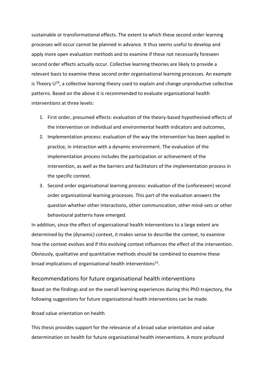sustainable or transformational effects. The extent to which these second order learning processes will occur cannot be planned in advance. It thus seems useful to develop and apply more open evaluation methods and to examine if these not necessarily foreseen second order effects actually occur. Collective learning theories are likely to provide a relevant basis to examine these second order organisational learning processes. An example is Theory  $U^{19}$ , a collective learning theory used to explain and change unproductive collective patterns. Based on the above it is recommended to evaluate organisational health interventions at three levels:

- 1. First order, presumed effects: evaluation of the theory-based hypothesised effects of the intervention on individual and environmental health indicators and outcomes,
- 2. Implementation process: evaluation of the way the intervention has been applied in practice, in interaction with a dynamic environment. The evaluation of the implementation process includes the participation or achievement of the intervention, as well as the barriers and facilitators of the implementation process in the specific context.
- 3. Second order organisational learning process: evaluation of the (unforeseen) second order organisational learning processes. This part of the evaluation answers the question whether other interactions, other communication, other mind-sets or other behavioural patterns have emerged.

In addition, since the effect of organisational health interventions to a large extent are determined by the (dynamic) context, it makes sense to describe the context, to examine how the context evolves and if this evolving context influences the effect of the intervention. Obviously, qualitative and quantitative methods should be combined to examine these broad implications of organisational health interventions<sup>51</sup>.

## Recommendations for future organisational health interventions

Based on the findings and on the overall learning experiences during this PhD-trajectory, the following suggestions for future organisational health interventions can be made.

## Broad value orientation on health

This thesis provides support for the relevance of a broad value orientation and value determination on health for future organisational health interventions. A more profound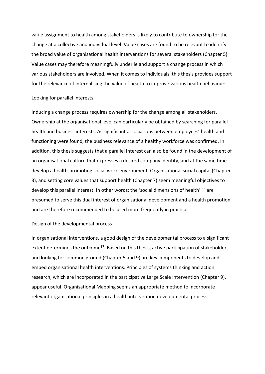value assignment to health among stakeholders is likely to contribute to ownership for the change at a collective and individual level. Value cases are found to be relevant to identify the broad value of organisational health interventions for several stakeholders (Chapter 5). Value cases may therefore meaningfully underlie and support a change process in which various stakeholders are involved. When it comes to individuals, this thesis provides support for the relevance of internalising the value of health to improve various health behaviours.

#### Looking for parallel interests

Inducing a change process requires ownership for the change among all stakeholders. Ownership at the organisational level can particularly be obtained by searching for parallel health and business interests. As significant associations between employees' health and functioning were found, the business relevance of a healthy workforce was confirmed. In addition, this thesis suggests that a parallel interest can also be found in the development of an organisational culture that expresses a desired company identity, and at the same time develop a health-promoting social work-environment. Organisational social capital (Chapter 3), and setting core values that support health (Chapter 7) seem meaningful objectives to develop this parallel interest. In other words: the 'social dimensions of health' <sup>62</sup> are presumed to serve this dual interest of organisational development and a health promotion, and are therefore recommended to be used more frequently in practice.

### Design of the developmental process

In organisational interventions, a good design of the developmental process to a significant extent determines the outcome<sup>37</sup>. Based on this thesis, active participation of stakeholders and looking for common ground (Chapter 5 and 9) are key components to develop and embed organisational health interventions. Principles of systems thinking and action research, which are incorporated in the participative Large Scale Intervention (Chapter 9), appear useful. Organisational Mapping seems an appropriate method to incorporate relevant organisational principles in a health intervention developmental process.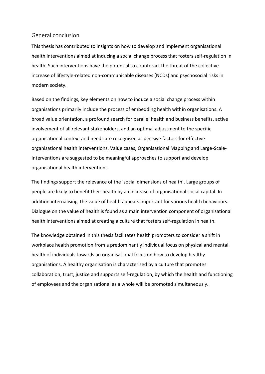# General conclusion

This thesis has contributed to insights on how to develop and implement organisational health interventions aimed at inducing a social change process that fosters self-regulation in health. Such interventions have the potential to counteract the threat of the collective increase of lifestyle-related non-communicable diseases (NCDs) and psychosocial risks in modern society.

Based on the findings, key elements on how to induce a social change process within organisations primarily include the process of embedding health within organisations. A broad value orientation, a profound search for parallel health and business benefits, active involvement of all relevant stakeholders, and an optimal adjustment to the specific organisational context and needs are recognised as decisive factors for effective organisational health interventions. Value cases, Organisational Mapping and Large-Scale-Interventions are suggested to be meaningful approaches to support and develop organisational health interventions.

The findings support the relevance of the 'social dimensions of health'. Large groups of people are likely to benefit their health by an increase of organisational social capital. In addition internalising the value of health appears important for various health behaviours. Dialogue on the value of health is found as a main intervention component of organisational health interventions aimed at creating a culture that fosters self-regulation in health.

The knowledge obtained in this thesis facilitates health promoters to consider a shift in workplace health promotion from a predominantly individual focus on physical and mental health of individuals towards an organisational focus on how to develop healthy organisations. A healthy organisation is characterised by a culture that promotes collaboration, trust, justice and supports self-regulation, by which the health and functioning of employees and the organisational as a whole will be promoted simultaneously.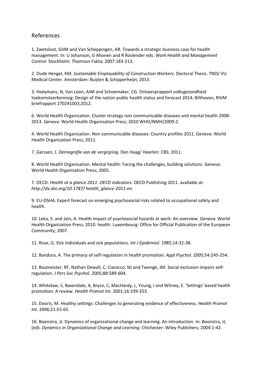# References

1. Zwetsloot, GIJM and Van Scheppingen, AR. Towards a strategic business case for health management. In: U Johanson, G Ahonen and R Roslender eds. *Work Health and Management Control.* Stockholm: Thomson Fakta; 2007:183-213.

2. Oude Hengel, KM. *Sustainable Employability of Construction Workers.* Doctoral Thesis. TNO/ VU Medical Center. Amsterdam: Buijten & Schipperheijn; 2013.

3. Hoeymans, N, Van Loon, AJM and Schoemaker, CG. Ontwerprapport volksgezondheid toekomstverkenning: Design of the nation public health status and forecast 2014; Bilthoven, RIVM briefrapport 270241003;2012.

6. World Health Organization. Cluster strategy non communicable diseases and mental health 2008- 2013. Geneva: World Health Organisation Press; 2010 WHO/NMH/2009.2.

4. World Health Organisation. Non communicable diseases: Country profiles 2011. Geneva: World Health Organization Press; 2011.

7. Garssen, J. *Demografie van de vergrijzing*. Den Haag/ Heerlen: CBS; 2011.

8. World Health Organisation. Mental health: Facing the challenges, building solutions. Geneva: World Health Organisation Press; 2005.

7. OECD. *Health at a glance 2011: OECD indicators.* OECD Publishing 2011. available at: *http://dx.doi.org/10.1787/ health\_glance-2011-en.*

9. EU-OSHA. Expert forecast on emerging psychosocial risks related to occupational safety and health.

10. Leka, S. and Jain, A. Health impact of psychosocial hazards at work: An overview. Geneva: World Health Organization Press; 2010. health. Luxembourg: Office for Official Publication of the European Community; 2007.

11. Rose, G. Sick individuals and sick populations. *Int J Epidemiol.* 1985;14:32-38.

12. Bandura, A. The primacy of self-regulation in health promotion. *Appl Psychol.* 2005;54:245-254.

13. Baumeister, RF, Nathan Dewall, C, Ciarocco, NJ and Twenge, JM. Social exclusion impairs selfregulation. *J Pers Soc Psychol.* 2005;88:589-604.

14. Whitelaw, S, Baxendale, A, Bryce, C, MacHardy, L, Young, I and Witney, E. 'Settings' based health promotion: A review. *Health Promot Int.* 2001;16:339-353.

15. Dooris, M. Healthy settings: Challenges to generating evidence of effectiveness. *Health Promot Int.* 2006;21:55-65.

16. Boonstra, JJ. Dynamics of organizational change and learning. An introduction. In: Boonstra, JJ, (ed). *Dynamics in Organizational Change and Learning.* Chichester: Wiley Publishers; 2004:1-42.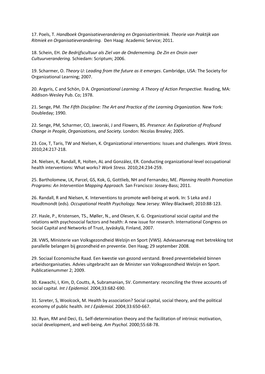17. Poels, T. *Handboek Organisatieverandering en Organisatieritmiek. Theorie van Praktijk van Ritmiek en Organisatieverandering.* Den Haag: Academic Service; 2011.

18. Schein, EH. *De Bedrijfscultuur als Ziel van de Onderneming. De Zin en Onzin over Cultuurverandering.* Schiedam: Scriptum; 2006.

19. Scharmer, O. *Theory U: Leading from the future as it emerges*. Cambridge, USA: The Society for Organizational Learning; 2007.

20. Argyris, C and Schön, D A. *Organizational Learning: A Theory of Action Perspective.* Reading, MA: Addison-Wesley Pub. Co; 1978.

21. Senge, PM. *The Fifth Discipline: The Art and Practice of the Learning Organization.* New York: Doubleday; 1990.

22. Senge, PM, Scharmer, CO, Jaworski, J and Flowers, BS. *Presence: An Exploration of Profound Change in People, Organizations, and Society.* London: Nicolas Brealey; 2005.

23. Cox, T, Taris, TW and Nielsen, K. Organizational interventions: Issues and challenges. *Work Stress.*  2010;24:217-218.

24. Nielsen, K, Randall, R, Holten, AL and González, ER. Conducting organizational-level occupational health interventions: What works? *Work Stress.* 2010;24:234-259.

25. Bartholomew, LK, Parcel, GS, Kok, G, Gottlieb, NH and Fernandez, ME. *Planning Health Promotion Programs: An Intervention Mapping Approach.* San Francisco: Jossey-Bass; 2011.

26. Randall, R and Nielsen, K. Interventions to promote well-being at work. In: S Leka and J Houdtmondt (eds). *Occupational Health Psychology.* New Jersey: Wiley-Blackwell; 2010:88-123.

27. Hasle, P., Kristensen, TS., Møller, N., and Olesen, K. G. Organizational social capital and the relations with psychosocial factors and health: A new issue for research. International Congress on Social Capital and Networks of Trust, Jyväskylä, Finland, 2007.

28. VWS, Ministerie van Volksgezondheid Welzijn en Sport (VWS). Adviesaanvraag met betrekking tot parallelle belangen bij gezondheid en preventie. Den Haag; 29 september 2008.

29. Sociaal Economische Raad. Een kwestie van gezond verstand. Breed preventiebeleid binnen arbeidsorganisaties. Advies uitgebracht aan de Minister van Volksgezondheid Welzijn en Sport. Publicatienummer 2; 2009.

30. Kawachi, I, Kim, D, Coutts, A, Subramanian, SV. Commentary: reconciling the three accounts of social capital. *Int J Epidemiol.* 2004;33:682-690.

31. Szreter, S, Woolcock, M. Health by association? Social capital, social theory, and the political economy of public health. *Int J Epidemiol.* 2004;33:650-667.

32. Ryan, RM and Deci, EL. Self-determination theory and the facilitation of intrinsic motivation, social development, and well-being. *Am Psychol.* 2000;55:68-78.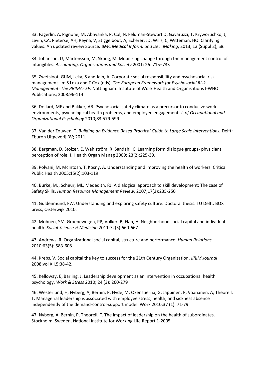33. Fagerlin, A, Pignone, M, Abhyanka, P, Col, N, Feldman-Stewart D, Gavaruzzi, T, Kryworuchko, J, Levin, CA, Pieterse, AH, Reyna, V, Stiggelbout, A, Scherer, JD, Wills, C, Witteman, HO. Clarifying values: An updated review Source. *BMC Medical Inform. and Dec. Making*, 2013, 13 (Suppl 2), S8.

34. Johanson, U, Märtensson, M, Skoog, M. Mobilizing change through the management control of intangibles. *Accounting, Organizations and Society* 2001; 26: 715–733

35. Zwetsloot, GIJM, Leka, S and Jain, A. Corporate social responsibility and psychosocial risk management. In: S Leka and T Cox (eds). *The European Framework for Psychosocial Risk Management: The PRIMA- EF.* Nottingham: Institute of Work Health and Organisations I-WHO Publications; 2008:96-114.

36. Dollard, MF and Bakker, AB. Psychosocial safety climate as a precursor to conducive work environments, psychological health problems, and employee engagement. *J. of Occupational and Organizational Psychology* 2010;83:579-599.

37. Van der Zouwen, T. *Building an Evidence Based Practical Guide to Large Scale Interventions.* Delft: Eburon Uitgeverij BV; 2011.

38. Bergman, D, Stolzer, E, Wahlström, R, Sandahl, C. Learning form dialogue groups- physicians' perception of role. J. Health Organ Manag 2009; 23(2):225-39.

39. Polyani, M, McIntosh, T, Kosny, A. Understanding and improving the health of workers. Critical Public Health 2005;15(2):103-119

40. Burke, MJ, Scheur, ML, Mededith, RJ. A dialogical approach to skill development: The case of Safety Skills. *Human Resource Management Review*, 2007;17(2);235-250

41. Guldenmund, FW. Understanding and exploring safety culture. Doctoral thesis. TU Delft. BOX press, Oisterwijk 2010.

42. Mohnen, SM, Groenewegen, PP, Völker, B, Flap, H. Neighborhood social capital and individual health. *Social Science & Medicine* 2011;72(5):660-667

43. Andrews, R. Organizational social capital, structure and performance. *Human Relations* 2010;63(5): 583-608

44. Krebs, V. Social capital the key to success for the 21th Century Organization. *IIRIM Journal* 2008;vol XII,5:38-42.

45. Kelloway, E, Barling, J. Leadership development as an intervention in occupational health psychology. *Work & Stress* 2010; 24 (3): 260-279

46. Westerlund, H, Nyberg, A, Bernin, P, Hyde, M, Oxenstierna, G, Jäppinen, P, Väänänen, A, Theorell, T. Managerial leadership is associated with employee stress, health, and sickness absence independently of the demand-control-support model. Work 2010;37 (1): 71-79

47. Nyberg, A, Bernin, P, Theorell, T. The impact of leadership on the health of subordinates. Stockholm, Sweden, National Institute for Working Life Report 1-2005.